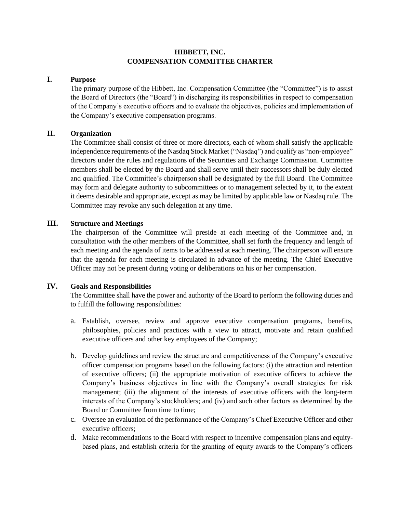### **HIBBETT, INC. COMPENSATION COMMITTEE CHARTER**

#### **I. Purpose**

The primary purpose of the Hibbett, Inc. Compensation Committee (the "Committee") is to assist the Board of Directors (the "Board") in discharging its responsibilities in respect to compensation of the Company's executive officers and to evaluate the objectives, policies and implementation of the Company's executive compensation programs.

## **II. Organization**

The Committee shall consist of three or more directors, each of whom shall satisfy the applicable independence requirements of the Nasdaq Stock Market ("Nasdaq") and qualify as "non-employee" directors under the rules and regulations of the Securities and Exchange Commission. Committee members shall be elected by the Board and shall serve until their successors shall be duly elected and qualified. The Committee's chairperson shall be designated by the full Board. The Committee may form and delegate authority to subcommittees or to management selected by it, to the extent it deems desirable and appropriate, except as may be limited by applicable law or Nasdaq rule. The Committee may revoke any such delegation at any time.

# **III. Structure and Meetings**

The chairperson of the Committee will preside at each meeting of the Committee and, in consultation with the other members of the Committee, shall set forth the frequency and length of each meeting and the agenda of items to be addressed at each meeting. The chairperson will ensure that the agenda for each meeting is circulated in advance of the meeting. The Chief Executive Officer may not be present during voting or deliberations on his or her compensation.

#### **IV. Goals and Responsibilities**

The Committee shall have the power and authority of the Board to perform the following duties and to fulfill the following responsibilities:

- a. Establish, oversee, review and approve executive compensation programs, benefits, philosophies, policies and practices with a view to attract, motivate and retain qualified executive officers and other key employees of the Company;
- b. Develop guidelines and review the structure and competitiveness of the Company's executive officer compensation programs based on the following factors: (i) the attraction and retention of executive officers; (ii) the appropriate motivation of executive officers to achieve the Company's business objectives in line with the Company's overall strategies for risk management; (iii) the alignment of the interests of executive officers with the long-term interests of the Company's stockholders; and (iv) and such other factors as determined by the Board or Committee from time to time;
- c. Oversee an evaluation of the performance of the Company's Chief Executive Officer and other executive officers;
- d. Make recommendations to the Board with respect to incentive compensation plans and equitybased plans, and establish criteria for the granting of equity awards to the Company's officers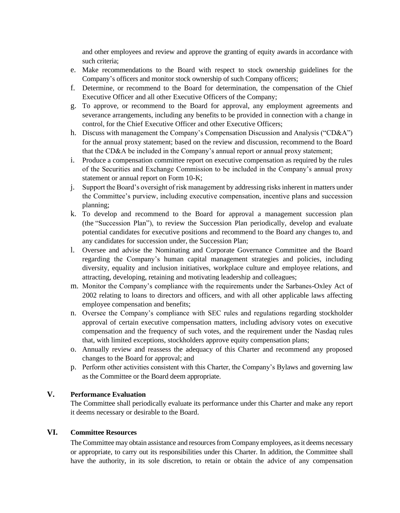and other employees and review and approve the granting of equity awards in accordance with such criteria;

- e. Make recommendations to the Board with respect to stock ownership guidelines for the Company's officers and monitor stock ownership of such Company officers;
- f. Determine, or recommend to the Board for determination, the compensation of the Chief Executive Officer and all other Executive Officers of the Company;
- g. To approve, or recommend to the Board for approval, any employment agreements and severance arrangements, including any benefits to be provided in connection with a change in control, for the Chief Executive Officer and other Executive Officers;
- h. Discuss with management the Company's Compensation Discussion and Analysis ("CD&A") for the annual proxy statement; based on the review and discussion, recommend to the Board that the CD&A be included in the Company's annual report or annual proxy statement;
- i. Produce a compensation committee report on executive compensation as required by the rules of the Securities and Exchange Commission to be included in the Company's annual proxy statement or annual report on Form 10-K;
- j. Support the Board's oversight of risk management by addressing risks inherent in matters under the Committee's purview, including executive compensation, incentive plans and succession planning;
- k. To develop and recommend to the Board for approval a management succession plan (the "Succession Plan"), to review the Succession Plan periodically, develop and evaluate potential candidates for executive positions and recommend to the Board any changes to, and any candidates for succession under, the Succession Plan;
- l. Oversee and advise the Nominating and Corporate Governance Committee and the Board regarding the Company's human capital management strategies and policies, including diversity, equality and inclusion initiatives, workplace culture and employee relations, and attracting, developing, retaining and motivating leadership and colleagues;
- m. Monitor the Company's compliance with the requirements under the Sarbanes-Oxley Act of 2002 relating to loans to directors and officers, and with all other applicable laws affecting employee compensation and benefits;
- n. Oversee the Company's compliance with SEC rules and regulations regarding stockholder approval of certain executive compensation matters, including advisory votes on executive compensation and the frequency of such votes, and the requirement under the Nasdaq rules that, with limited exceptions, stockholders approve equity compensation plans;
- o. Annually review and reassess the adequacy of this Charter and recommend any proposed changes to the Board for approval; and
- p. Perform other activities consistent with this Charter, the Company's Bylaws and governing law as the Committee or the Board deem appropriate.

#### **V. Performance Evaluation**

The Committee shall periodically evaluate its performance under this Charter and make any report it deems necessary or desirable to the Board.

# **VI. Committee Resources**

The Committee may obtain assistance and resources from Company employees, as it deems necessary or appropriate, to carry out its responsibilities under this Charter. In addition, the Committee shall have the authority, in its sole discretion, to retain or obtain the advice of any compensation